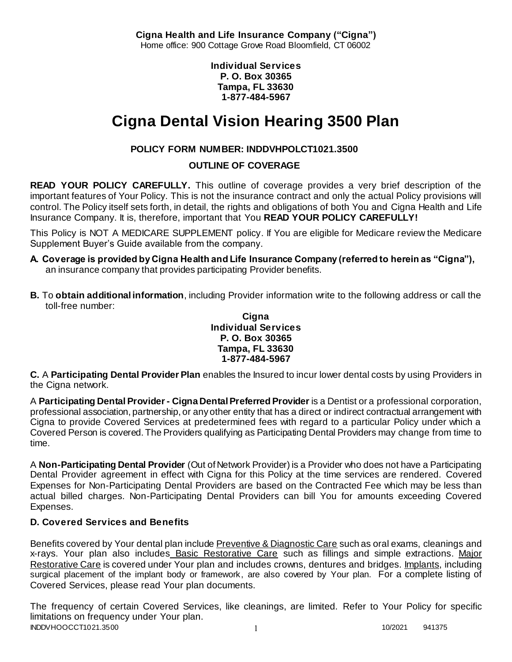**Cigna Health and Life Insurance Company ("Cigna")** Home office: 900 Cottage Grove Road Bloomfield, CT 06002

> **Individual Services P. O. Box 30365 Tampa, FL 33630 1-877-484-5967**

# **Cigna Dental Vision Hearing 3500 Plan**

# **POLICY FORM NUMBER: INDDVHPOLCT1021.3500**

# **OUTLINE OF COVERAGE**

**READ YOUR POLICY CAREFULLY.** This outline of coverage provides a very brief description of the important features of Your Policy. This is not the insurance contract and only the actual Policy provisions will control. The Policy itself sets forth, in detail, the rights and obligations of both You and Cigna Health and Life Insurance Company. It is, therefore, important that You **READ YOUR POLICY CAREFULLY!** 

This Policy is NOT A MEDICARE SUPPLEMENT policy. If You are eligible for Medicare review the Medicare Supplement Buyer's Guide available from the company.

- **A. Coverage is provided by Cigna Health and Life Insurance Company (referred to herein as "Cigna"),**  an insurance company that provides participating Provider benefits.
- **B.** To **obtain additional information**, including Provider information write to the following address or call the toll-free number:

#### **Cigna Individual Services P. O. Box 30365 Tampa, FL 33630 1-877-484-5967**

**C.** A **Participating Dental Provider Plan** enables the Insured to incur lower dental costs by using Providers in the Cigna network.

A **Participating Dental Provider - Cigna Dental Preferred Provider** is a Dentist or a professional corporation, professional association, partnership, or any other entity that has a direct or indirect contractual arrangement with Cigna to provide Covered Services at predetermined fees with regard to a particular Policy under which a Covered Person is covered. The Providers qualifying as Participating Dental Providers may change from time to time.

A **Non-Participating Dental Provider** (Out of Network Provider) is a Provider who does not have a Participating Dental Provider agreement in effect with Cigna for this Policy at the time services are rendered. Covered Expenses for Non-Participating Dental Providers are based on the Contracted Fee which may be less than actual billed charges. Non-Participating Dental Providers can bill You for amounts exceeding Covered Expenses.

# **D. Covered Services and Benefits**

Benefits covered by Your dental plan include Preventive & Diagnostic Care such as oral exams, cleanings and x-rays. Your plan also includes Basic Restorative Care such as fillings and simple extractions. Major Restorative Care is covered under Your plan and includes crowns, dentures and bridges. Implants, including surgical placement of the implant body or framework, are also covered by Your plan. For a complete listing of Covered Services, please read Your plan documents.

INDDVHOOCCT1021.3500 1 2002021 1 2002021 1 The frequency of certain Covered Services, like cleanings, are limited. Refer to Your Policy for specific limitations on frequency under Your plan.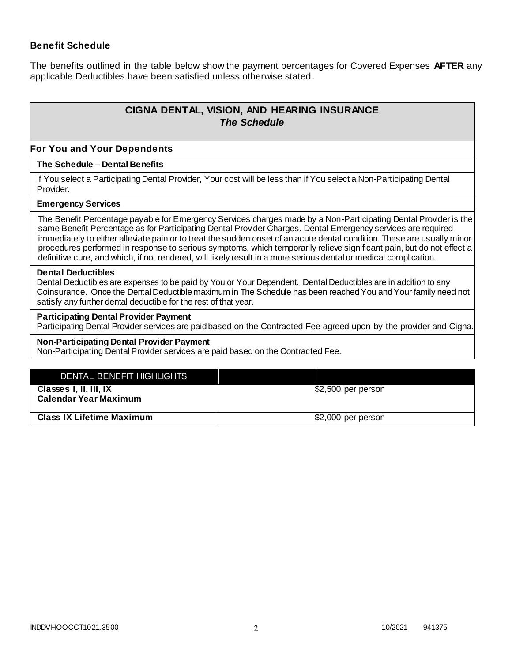### **Benefit Schedule**

The benefits outlined in the table below show the payment percentages for Covered Expenses **AFTER** any applicable Deductibles have been satisfied unless otherwise stated.

# **CIGNA DENTAL, VISION, AND HEARING INSURANCE** *The Schedule*

#### **For You and Your Dependents**

#### **The Schedule – Dental Benefits**

If You select a Participating Dental Provider, Your cost will be less than if You select a Non-Participating Dental Provider.

#### **Emergency Services**

The Benefit Percentage payable for Emergency Services charges made by a Non-Participating Dental Provider is the same Benefit Percentage as for Participating Dental Provider Charges. Dental Emergency services are required immediately to either alleviate pain or to treat the sudden onset of an acute dental condition. These are usually minor procedures performed in response to serious symptoms, which temporarily relieve significant pain, but do not effect a definitive cure, and which, if not rendered, will likely result in a more serious dental or medical complication.

#### **Dental Deductibles**

Dental Deductibles are expenses to be paid by You or Your Dependent. Dental Deductibles are in addition to any Coinsurance. Once the Dental Deductible maximum in The Schedule has been reached You and Your family need not satisfy any further dental deductible for the rest of that year.

#### **Participating Dental Provider Payment**

Participating Dental Provider services are paid based on the Contracted Fee agreed upon by the provider and Cigna.

#### **Non-Participating Dental Provider Payment**

Non-Participating Dental Provider services are paid based on the Contracted Fee.

| DENTAL BENEFIT HIGHLIGHTS                              |                     |
|--------------------------------------------------------|---------------------|
| Classes I, II, III, IX<br><b>Calendar Year Maximum</b> | \$2,500 per person  |
| <b>Class IX Lifetime Maximum</b>                       | $$2,000$ per person |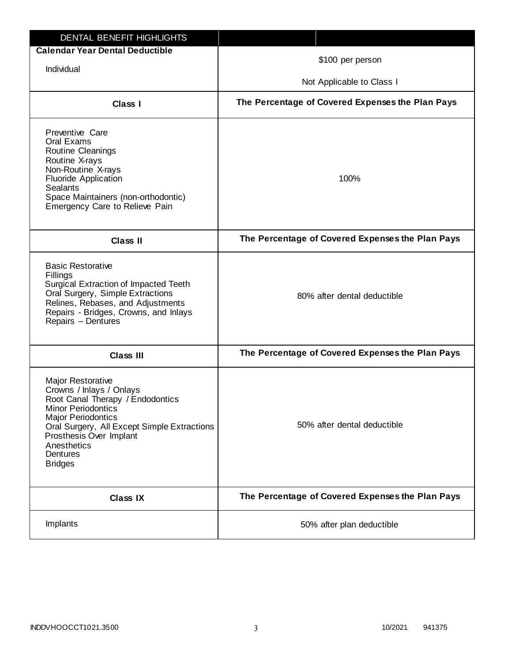| DENTAL BENEFIT HIGHLIGHTS                                                                                                                                                                                                                                                 |                                                  |
|---------------------------------------------------------------------------------------------------------------------------------------------------------------------------------------------------------------------------------------------------------------------------|--------------------------------------------------|
| <b>Calendar Year Dental Deductible</b>                                                                                                                                                                                                                                    | \$100 per person                                 |
| Individual                                                                                                                                                                                                                                                                |                                                  |
|                                                                                                                                                                                                                                                                           | Not Applicable to Class I                        |
| <b>Class I</b>                                                                                                                                                                                                                                                            | The Percentage of Covered Expenses the Plan Pays |
| Preventive Care<br>Oral Exams<br>Routine Cleanings<br>Routine X-rays<br>Non-Routine X-rays<br>Fluoride Application<br><b>Sealants</b><br>Space Maintainers (non-orthodontic)<br>Emergency Care to Relieve Pain                                                            | 100%                                             |
| <b>Class II</b>                                                                                                                                                                                                                                                           | The Percentage of Covered Expenses the Plan Pays |
| <b>Basic Restorative</b><br>Fillings<br>Surgical Extraction of Impacted Teeth<br>Oral Surgery, Simple Extractions<br>Relines, Rebases, and Adjustments<br>Repairs - Bridges, Crowns, and Inlays<br>Repairs - Dentures                                                     | 80% after dental deductible                      |
| <b>Class III</b>                                                                                                                                                                                                                                                          | The Percentage of Covered Expenses the Plan Pays |
| <b>Major Restorative</b><br>Crowns / Inlays / Onlays<br>Root Canal Therapy / Endodontics<br><b>Minor Periodontics</b><br><b>Major Periodontics</b><br>Oral Surgery, All Except Simple Extractions<br>Prosthesis Over Implant<br>Anesthetics<br>Dentures<br><b>Bridges</b> | 50% after dental deductible                      |
| <b>Class IX</b>                                                                                                                                                                                                                                                           | The Percentage of Covered Expenses the Plan Pays |
| Implants                                                                                                                                                                                                                                                                  | 50% after plan deductible                        |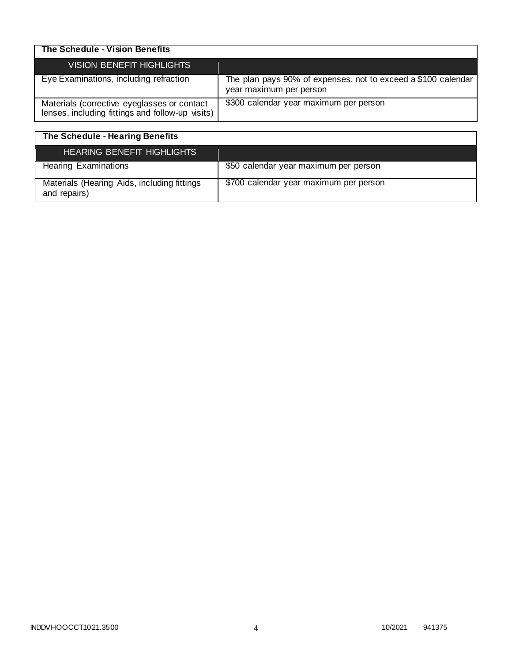| The Schedule - Vision Benefits                                                                  |                                                                                          |
|-------------------------------------------------------------------------------------------------|------------------------------------------------------------------------------------------|
| <b>VISION BENEFIT HIGHLIGHTS</b>                                                                |                                                                                          |
| Eye Examinations, including refraction                                                          | The plan pays 90% of expenses, not to exceed a \$100 calendar<br>year maximum per person |
| Materials (corrective eyeglasses or contact<br>lenses, including fittings and follow-up visits) | \$300 calendar year maximum per person                                                   |

| The Schedule - Hearing Benefits                             |                                        |
|-------------------------------------------------------------|----------------------------------------|
| <b>HEARING BENEFIT HIGHLIGHTS</b>                           |                                        |
| <b>Hearing Examinations</b>                                 | \$50 calendar year maximum per person  |
| Materials (Hearing Aids, including fittings<br>and repairs) | \$700 calendar year maximum per person |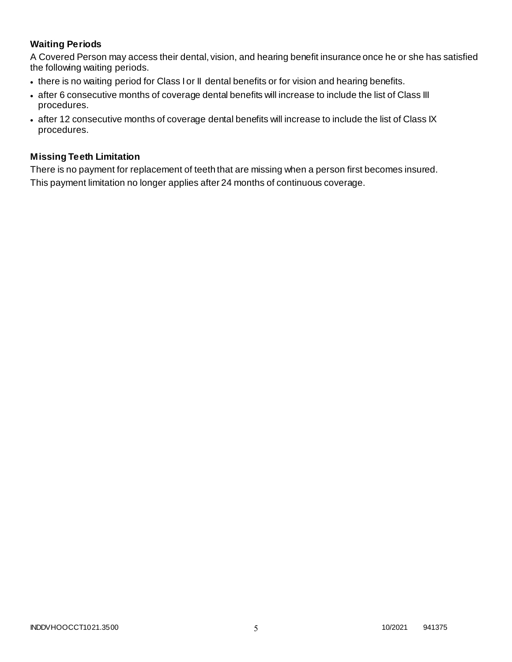# **Waiting Periods**

A Covered Person may access their dental, vision, and hearing benefit insurance once he or she has satisfied the following waiting periods.

- there is no waiting period for Class I or II dental benefits or for vision and hearing benefits.
- after 6 consecutive months of coverage dental benefits will increase to include the list of Class III procedures.
- after 12 consecutive months of coverage dental benefits will increase to include the list of Class IX procedures.

### **Missing Teeth Limitation**

There is no payment for replacement of teeth that are missing when a person first becomes insured. This payment limitation no longer applies after 24 months of continuous coverage.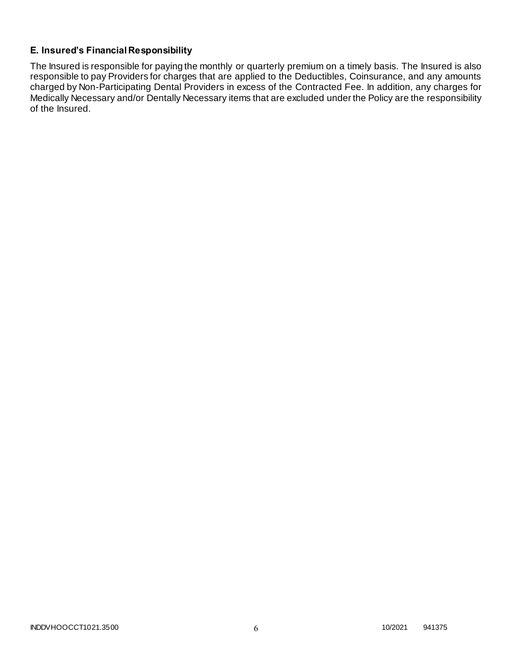# **E. Insured's Financial Responsibility**

The Insured is responsible for paying the monthly or quarterly premium on a timely basis. The Insured is also responsible to pay Providers for charges that are applied to the Deductibles, Coinsurance, and any amounts charged by Non-Participating Dental Providers in excess of the Contracted Fee. In addition, any charges for Medically Necessary and/or Dentally Necessary items that are excluded under the Policy are the responsibility of the Insured.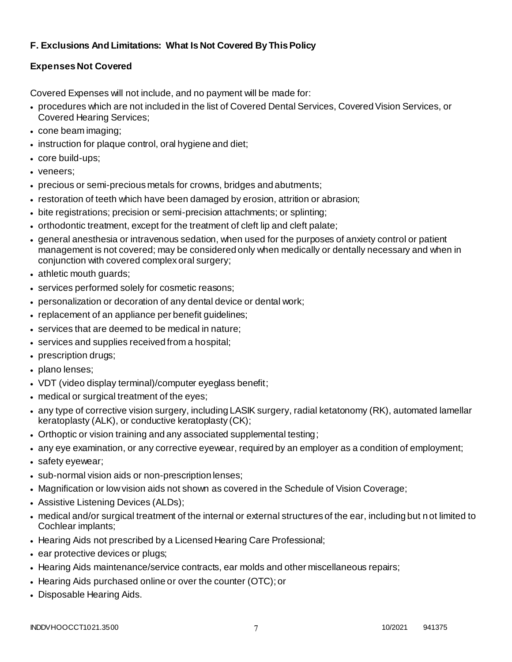# **F. Exclusions And Limitations: What Is Not Covered By This Policy**

# **Expenses Not Covered**

Covered Expenses will not include, and no payment will be made for:

- procedures which are not included in the list of Covered Dental Services, Covered Vision Services, or Covered Hearing Services;
- cone beam imaging;
- instruction for plaque control, oral hygiene and diet;
- core build-ups;
- veneers;
- precious or semi-precious metals for crowns, bridges and abutments;
- restoration of teeth which have been damaged by erosion, attrition or abrasion;
- bite registrations; precision or semi-precision attachments; or splinting;
- orthodontic treatment, except for the treatment of cleft lip and cleft palate;
- general anesthesia or intravenous sedation, when used for the purposes of anxiety control or patient management is not covered; may be considered only when medically or dentally necessary and when in conjunction with covered complex oral surgery;
- athletic mouth guards;
- services performed solely for cosmetic reasons;
- personalization or decoration of any dental device or dental work;
- replacement of an appliance per benefit guidelines;
- services that are deemed to be medical in nature;
- services and supplies received from a hospital;
- prescription drugs;
- plano lenses;
- VDT (video display terminal)/computer eyeglass benefit;
- medical or surgical treatment of the eyes;
- any type of corrective vision surgery, including LASIK surgery, radial ketatonomy (RK), automated lamellar keratoplasty (ALK), or conductive keratoplasty (CK);
- Orthoptic or vision training and any associated supplemental testing;
- any eye examination, or any corrective eyewear, required by an employer as a condition of employment;
- safety eyewear;
- sub-normal vision aids or non-prescription lenses;
- Magnification or low vision aids not shown as covered in the Schedule of Vision Coverage;
- Assistive Listening Devices (ALDs);
- medical and/or surgical treatment of the internal or external structures of the ear, including but n ot limited to Cochlear implants;
- Hearing Aids not prescribed by a Licensed Hearing Care Professional;
- ear protective devices or plugs;
- Hearing Aids maintenance/service contracts, ear molds and other miscellaneous repairs;
- Hearing Aids purchased online or over the counter (OTC); or
- Disposable Hearing Aids.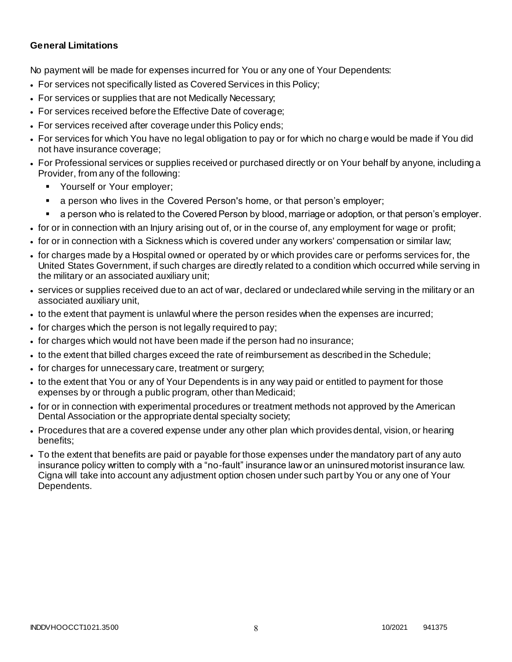### **General Limitations**

No payment will be made for expenses incurred for You or any one of Your Dependents:

- For services not specifically listed as Covered Services in this Policy;
- For services or supplies that are not Medically Necessary;
- For services received before the Effective Date of coverage;
- For services received after coverage under this Policy ends;
- For services for which You have no legal obligation to pay or for which no charge would be made if You did not have insurance coverage;
- For Professional services or supplies received or purchased directly or on Your behalf by anyone, including a Provider, from any of the following:
	- Yourself or Your employer;
	- a person who lives in the Covered Person's home, or that person's employer;
	- a person who is related to the Covered Person by blood, marriage or adoption, or that person's employer.
- for or in connection with an Injury arising out of, or in the course of, any employment for wage or profit;
- for or in connection with a Sickness which is covered under any workers' compensation or similar law;
- for charges made by a Hospital owned or operated by or which provides care or performs services for, the United States Government, if such charges are directly related to a condition which occurred while serving in the military or an associated auxiliary unit;
- services or supplies received due to an act of war, declared or undeclared while serving in the military or an associated auxiliary unit,
- to the extent that payment is unlawful where the person resides when the expenses are incurred;
- for charges which the person is not legally required to pay;
- for charges which would not have been made if the person had no insurance;
- to the extent that billed charges exceed the rate of reimbursement as described in the Schedule;
- for charges for unnecessary care, treatment or surgery;
- to the extent that You or any of Your Dependents is in any way paid or entitled to payment for those expenses by or through a public program, other than Medicaid;
- for or in connection with experimental procedures or treatment methods not approved by the American Dental Association or the appropriate dental specialty society;
- Procedures that are a covered expense under any other plan which provides dental, vision, or hearing benefits;
- To the extent that benefits are paid or payable for those expenses under the mandatory part of any auto insurance policy written to comply with a "no-fault" insurance law or an uninsured motorist insurance law. Cigna will take into account any adjustment option chosen under such part by You or any one of Your Dependents.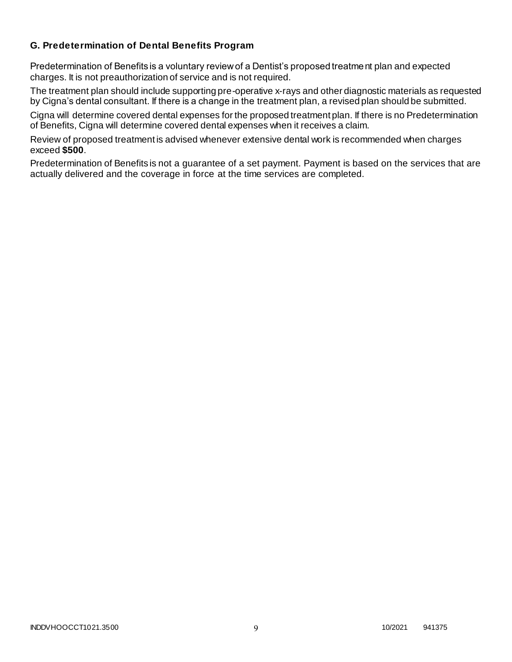### **G. Predetermination of Dental Benefits Program**

Predetermination of Benefits is a voluntary review of a Dentist's proposed treatment plan and expected charges. It is not preauthorization of service and is not required.

The treatment plan should include supporting pre-operative x-rays and other diagnostic materials as requested by Cigna's dental consultant. If there is a change in the treatment plan, a revised plan should be submitted.

Cigna will determine covered dental expenses for the proposed treatment plan. If there is no Predetermination of Benefits, Cigna will determine covered dental expenses when it receives a claim.

Review of proposed treatment is advised whenever extensive dental work is recommended when charges exceed **\$500**.

Predetermination of Benefits is not a guarantee of a set payment. Payment is based on the services that are actually delivered and the coverage in force at the time services are completed.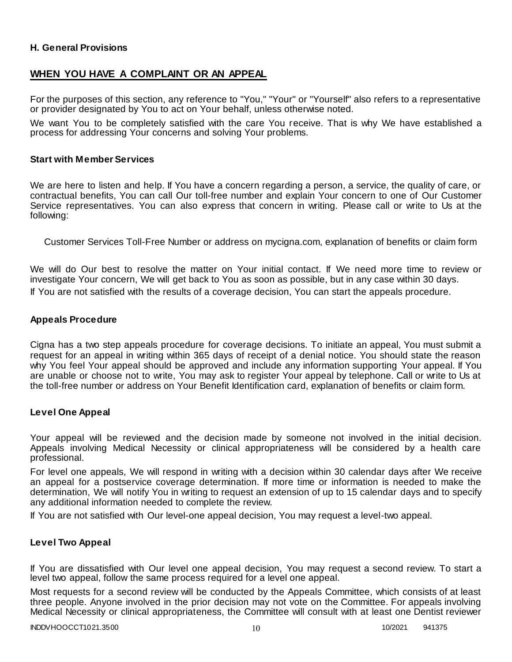### **H. General Provisions**

### **WHEN YOU HAVE A COMPLAINT OR AN APPEAL**

For the purposes of this section, any reference to "You," "Your" or "Yourself" also refers to a representative or provider designated by You to act on Your behalf, unless otherwise noted.

We want You to be completely satisfied with the care You receive. That is why We have established a process for addressing Your concerns and solving Your problems.

#### **Start with Member Services**

We are here to listen and help. If You have a concern regarding a person, a service, the quality of care, or contractual benefits, You can call Our toll-free number and explain Your concern to one of Our Customer Service representatives. You can also express that concern in writing. Please call or write to Us at the following:

Customer Services Toll-Free Number or address on mycigna.com, explanation of benefits or claim form

We will do Our best to resolve the matter on Your initial contact. If We need more time to review or investigate Your concern, We will get back to You as soon as possible, but in any case within 30 days. If You are not satisfied with the results of a coverage decision, You can start the appeals procedure.

#### **Appeals Procedure**

Cigna has a two step appeals procedure for coverage decisions. To initiate an appeal, You must submit a request for an appeal in writing within 365 days of receipt of a denial notice. You should state the reason why You feel Your appeal should be approved and include any information supporting Your appeal. If You are unable or choose not to write, You may ask to register Your appeal by telephone. Call or write to Us at the toll-free number or address on Your Benefit Identification card, explanation of benefits or claim form.

#### **Level One Appeal**

Your appeal will be reviewed and the decision made by someone not involved in the initial decision. Appeals involving Medical Necessity or clinical appropriateness will be considered by a health care professional.

For level one appeals, We will respond in writing with a decision within 30 calendar days after We receive an appeal for a postservice coverage determination. If more time or information is needed to make the determination, We will notify You in writing to request an extension of up to 15 calendar days and to specify any additional information needed to complete the review.

If You are not satisfied with Our level-one appeal decision, You may request a level-two appeal.

#### **Level Two Appeal**

If You are dissatisfied with Our level one appeal decision, You may request a second review. To start a level two appeal, follow the same process required for a level one appeal.

Most requests for a second review will be conducted by the Appeals Committee, which consists of at least three people. Anyone involved in the prior decision may not vote on the Committee. For appeals involving Medical Necessity or clinical appropriateness, the Committee will consult with at least one Dentist reviewer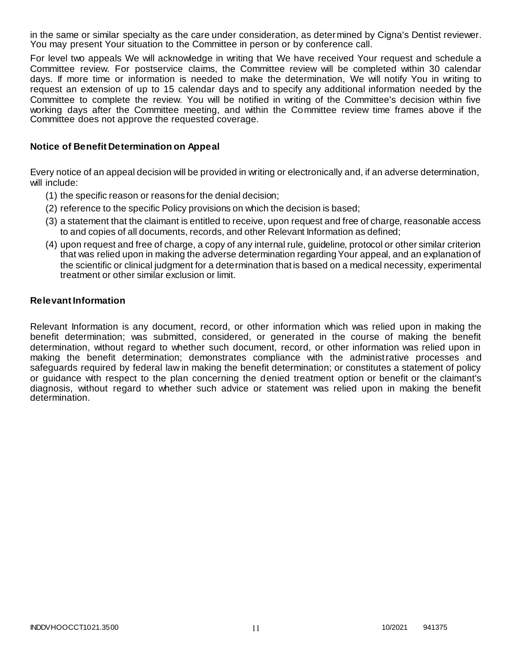in the same or similar specialty as the care under consideration, as determined by Cigna's Dentist reviewer. You may present Your situation to the Committee in person or by conference call.

For level two appeals We will acknowledge in writing that We have received Your request and schedule a Committee review. For postservice claims, the Committee review will be completed within 30 calendar days. If more time or information is needed to make the determination, We will notify You in writing to request an extension of up to 15 calendar days and to specify any additional information needed by the Committee to complete the review. You will be notified in writing of the Committee's decision within five working days after the Committee meeting, and within the Committee review time frames above if the Committee does not approve the requested coverage.

### **Notice of Benefit Determination on Appeal**

Every notice of an appeal decision will be provided in writing or electronically and, if an adverse determination, will include:

- (1) the specific reason or reasons for the denial decision;
- (2) reference to the specific Policy provisions on which the decision is based;
- (3) a statement that the claimant is entitled to receive, upon request and free of charge, reasonable access to and copies of all documents, records, and other Relevant Information as defined;
- (4) upon request and free of charge, a copy of any internal rule, guideline, protocol or other similar criterion that was relied upon in making the adverse determination regarding Your appeal, and an explanation of the scientific or clinical judgment for a determination that is based on a medical necessity, experimental treatment or other similar exclusion or limit.

#### **Relevant Information**

Relevant Information is any document, record, or other information which was relied upon in making the benefit determination; was submitted, considered, or generated in the course of making the benefit determination, without regard to whether such document, record, or other information was relied upon in making the benefit determination; demonstrates compliance with the administrative processes and safeguards required by federal law in making the benefit determination; or constitutes a statement of policy or guidance with respect to the plan concerning the denied treatment option or benefit or the claimant's diagnosis, without regard to whether such advice or statement was relied upon in making the benefit determination.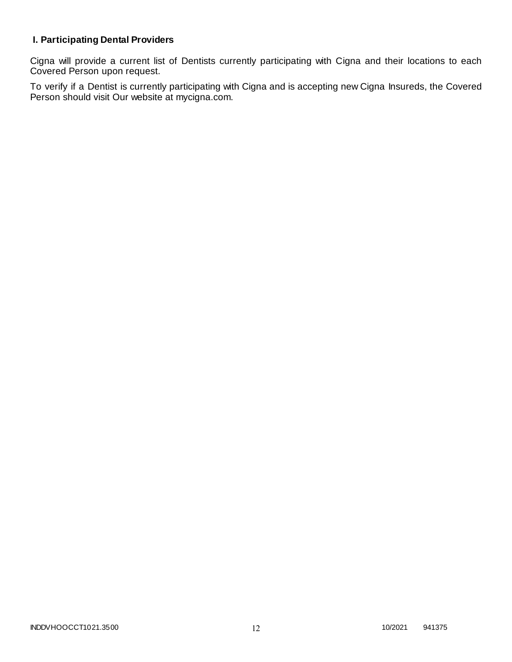# **I. Participating Dental Providers**

Cigna will provide a current list of Dentists currently participating with Cigna and their locations to each Covered Person upon request.

To verify if a Dentist is currently participating with Cigna and is accepting new Cigna Insureds, the Covered Person should visit Our website at mycigna.com.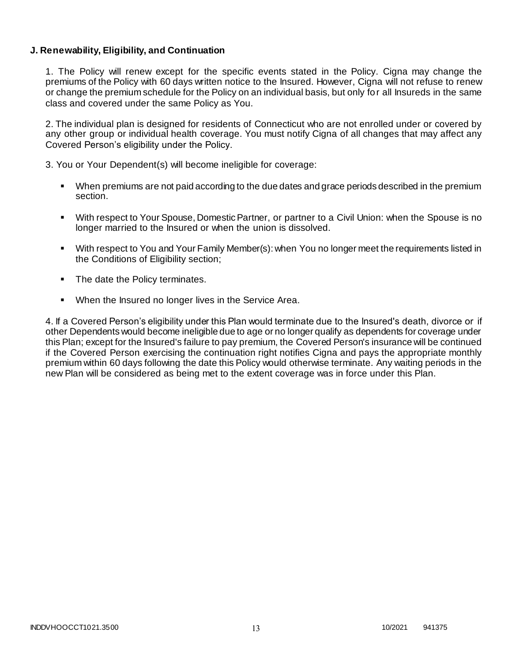### **J. Renewability, Eligibility, and Continuation**

1. The Policy will renew except for the specific events stated in the Policy. Cigna may change the premiums of the Policy with 60 days written notice to the Insured. However, Cigna will not refuse to renew or change the premium schedule for the Policy on an individual basis, but only for all Insureds in the same class and covered under the same Policy as You.

2. The individual plan is designed for residents of Connecticut who are not enrolled under or covered by any other group or individual health coverage. You must notify Cigna of all changes that may affect any Covered Person's eligibility under the Policy.

3. You or Your Dependent(s) will become ineligible for coverage:

- When premiums are not paid according to the due dates and grace periods described in the premium section.
- With respect to Your Spouse, Domestic Partner, or partner to a Civil Union: when the Spouse is no longer married to the Insured or when the union is dissolved.
- With respect to You and Your Family Member(s): when You no longer meet the requirements listed in the Conditions of Eligibility section;
- The date the Policy terminates.
- When the Insured no longer lives in the Service Area.

4. If a Covered Person's eligibility under this Plan would terminate due to the Insured's death, divorce or if other Dependents would become ineligible due to age or no longer qualify as dependents for coverage under this Plan; except for the Insured's failure to pay premium, the Covered Person's insurance will be continued if the Covered Person exercising the continuation right notifies Cigna and pays the appropriate monthly premium within 60 days following the date this Policy would otherwise terminate. Any waiting periods in the new Plan will be considered as being met to the extent coverage was in force under this Plan.